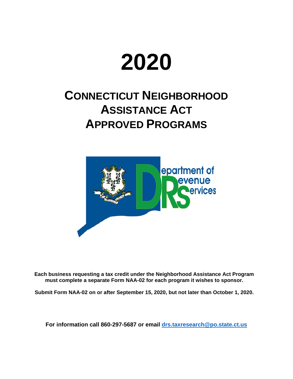# **2020**

## **CONNECTICUT NEIGHBORHOOD ASSISTANCE ACT APPROVED PROGRAMS**



**Each business requesting a tax credit under the Neighborhood Assistance Act Program must complete a separate Form NAA-02 for each program it wishes to sponsor.**

**Submit Form NAA-02 on or after September 15, 2020, but not later than October 1, 2020.** 

**For information call 860-297-5687 or email drs.taxresearch@po.state.ct.us**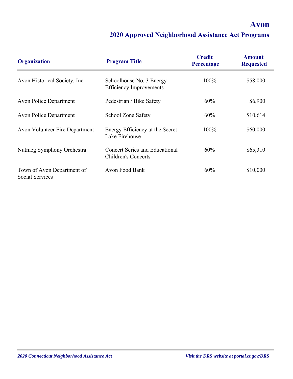#### **Avon**

| <b>Organization</b>                           | <b>Program Title</b>                                                | <b>Credit</b><br>Percentage | <b>Amount</b><br><b>Requested</b> |
|-----------------------------------------------|---------------------------------------------------------------------|-----------------------------|-----------------------------------|
| Avon Historical Society, Inc.                 | Schoolhouse No. 3 Energy<br><b>Efficiency Improvements</b>          | 100%                        | \$58,000                          |
| <b>Avon Police Department</b>                 | Pedestrian / Bike Safety                                            | 60%                         | \$6,900                           |
| <b>Avon Police Department</b>                 | School Zone Safety                                                  | 60%                         | \$10,614                          |
| <b>Avon Volunteer Fire Department</b>         | Energy Efficiency at the Secret<br>Lake Firehouse                   | 100%                        | \$60,000                          |
| Nutmeg Symphony Orchestra                     | <b>Concert Series and Educational</b><br><b>Children's Concerts</b> | 60%                         | \$65,310                          |
| Town of Avon Department of<br>Social Services | Avon Food Bank                                                      | 60%                         | \$10,000                          |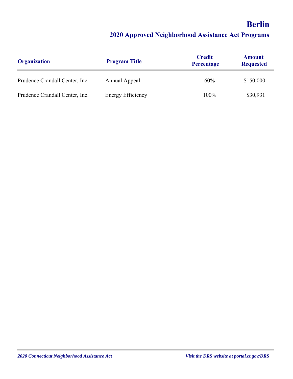## **Berlin 2020 Approved Neighborhood Assistance Act Programs**

| <b>Organization</b>            | <b>Program Title</b>     | <b>Credit</b><br>Percentage | <b>Amount</b><br><b>Requested</b> |
|--------------------------------|--------------------------|-----------------------------|-----------------------------------|
| Prudence Crandall Center, Inc. | Annual Appeal            | 60%                         | \$150,000                         |
| Prudence Crandall Center, Inc. | <b>Energy Efficiency</b> | 100%                        | \$30,931                          |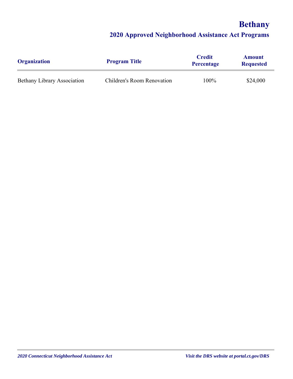## **Bethany**

| <b>Organization</b>                | <b>Program Title</b>       | <b>Credit</b><br><b>Percentage</b> | <b>Amount</b><br><b>Requested</b> |
|------------------------------------|----------------------------|------------------------------------|-----------------------------------|
| <b>Bethany Library Association</b> | Children's Room Renovation | 100%                               | \$24,000                          |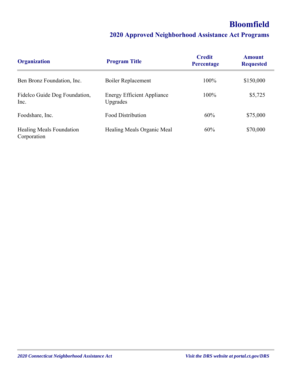## **Bloomfield**

| <b>Organization</b>                     | <b>Program Title</b>                          | <b>Credit</b><br>Percentage | Amount<br><b>Requested</b> |
|-----------------------------------------|-----------------------------------------------|-----------------------------|----------------------------|
| Ben Bronz Foundation, Inc.              | <b>Boiler Replacement</b>                     | 100%                        | \$150,000                  |
| Fidelco Guide Dog Foundation,<br>Inc.   | <b>Energy Efficient Appliance</b><br>Upgrades | 100%                        | \$5,725                    |
| Foodshare, Inc.                         | <b>Food Distribution</b>                      | 60%                         | \$75,000                   |
| Healing Meals Foundation<br>Corporation | Healing Meals Organic Meal                    | 60%                         | \$70,000                   |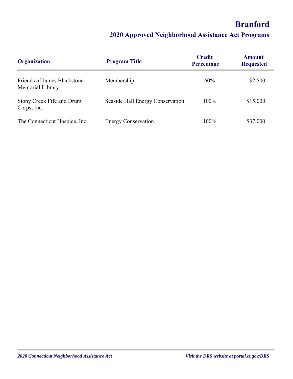## **Branford**

| <b>Organization</b>                             | <b>Program Title</b>             | <b>Credit</b><br>Percentage | <b>Amount</b><br><b>Requested</b> |
|-------------------------------------------------|----------------------------------|-----------------------------|-----------------------------------|
| Friends of James Blackstone<br>Memorial Library | Membership                       | 60%                         | \$2,500                           |
| Stony Creek Fife and Drum<br>Corps, Inc.        | Seaside Hall Energy Conservation | 100%                        | \$15,000                          |
| The Connecticut Hospice, Inc.                   | <b>Energy Conservation</b>       | 100%                        | \$37,000                          |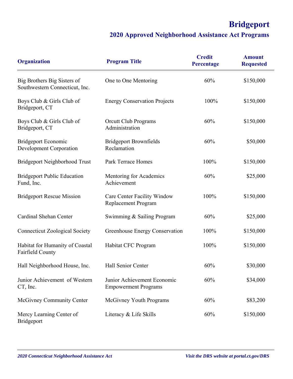## **Bridgeport**

| <b>Organization</b>                                           | <b>Program Title</b>                                             | <b>Credit</b><br>Percentage | <b>Amount</b><br><b>Requested</b> |
|---------------------------------------------------------------|------------------------------------------------------------------|-----------------------------|-----------------------------------|
| Big Brothers Big Sisters of<br>Southwestern Connecticut, Inc. | One to One Mentoring                                             | 60%                         | \$150,000                         |
| Boys Club & Girls Club of<br>Bridgeport, CT                   | <b>Energy Conservation Projects</b>                              | 100%                        | \$150,000                         |
| Boys Club & Girls Club of<br>Bridgeport, CT                   | <b>Orcutt Club Programs</b><br>Administration                    | 60%                         | \$150,000                         |
| <b>Bridgeport Economic</b><br>Development Corporation         | <b>Bridgeport Brownfields</b><br>Reclamation                     | 60%                         | \$50,000                          |
| <b>Bridgeport Neighborhood Trust</b>                          | Park Terrace Homes                                               | 100%                        | \$150,000                         |
| <b>Bridgeport Public Education</b><br>Fund, Inc.              | Mentoring for Academics<br>Achievement                           | 60%                         | \$25,000                          |
| <b>Bridgeport Rescue Mission</b>                              | <b>Care Center Facility Window</b><br><b>Replacement Program</b> | 100%                        | \$150,000                         |
| Cardinal Shehan Center                                        | Swimming & Sailing Program                                       | 60%                         | \$25,000                          |
| <b>Connecticut Zoological Society</b>                         | Greenhouse Energy Conservation                                   | 100%                        | \$150,000                         |
| Habitat for Humanity of Coastal<br>Fairfield County           | Habitat CFC Program                                              | 100%                        | \$150,000                         |
| Hall Neighborhood House, Inc.                                 | Hall Senior Center                                               | 60%                         | \$30,000                          |
| Junior Achievement of Western<br>CT, Inc.                     | Junior Achievement Economic<br><b>Empowerment Programs</b>       | 60%                         | \$34,000                          |
| McGivney Community Center                                     | McGivney Youth Programs                                          | 60%                         | \$83,200                          |
| Mercy Learning Center of<br>Bridgeport                        | Literacy & Life Skills                                           | 60%                         | \$150,000                         |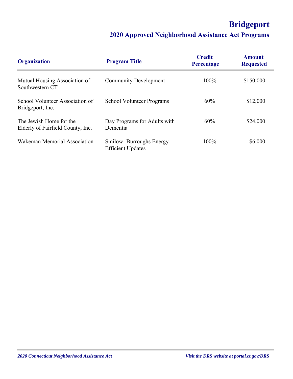## **Bridgeport**

| <b>Organization</b>                                          | <b>Program Title</b>                                | <b>Credit</b><br>Percentage | <b>Amount</b><br><b>Requested</b> |
|--------------------------------------------------------------|-----------------------------------------------------|-----------------------------|-----------------------------------|
| Mutual Housing Association of<br>Southwestern CT             | <b>Community Development</b>                        | 100%                        | \$150,000                         |
| School Volunteer Association of<br>Bridgeport, Inc.          | <b>School Volunteer Programs</b>                    | 60%                         | \$12,000                          |
| The Jewish Home for the<br>Elderly of Fairfield County, Inc. | Day Programs for Adults with<br>Dementia            | 60%                         | \$24,000                          |
| Wakeman Memorial Association                                 | Smilow-Burroughs Energy<br><b>Efficient Updates</b> | 100%                        | \$6,000                           |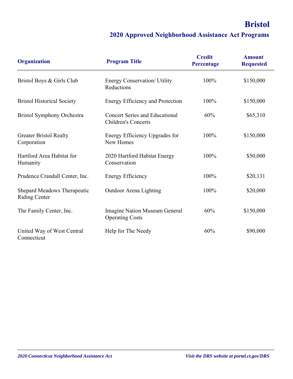## **Bristol**

| <b>Organization</b>                                 | <b>Program Title</b>                                                | <b>Credit</b><br><b>Percentage</b> | <b>Amount</b><br><b>Requested</b> |
|-----------------------------------------------------|---------------------------------------------------------------------|------------------------------------|-----------------------------------|
| Bristol Boys & Girls Club                           | Energy Conservation/ Utility<br>Reductions                          | 100%                               | \$150,000                         |
| <b>Bristol Historical Society</b>                   | <b>Energy Efficiency and Protection</b>                             | 100%                               | \$150,000                         |
| <b>Bristol Symphony Orchestra</b>                   | <b>Concert Series and Educational</b><br><b>Children's Concerts</b> | 60%                                | \$65,310                          |
| <b>Greater Bristol Realty</b><br>Corporation        | Energy Efficiency Upgrades for<br>New Homes                         | 100%                               | \$150,000                         |
| Hartford Area Habitat for<br>Humanity               | 2020 Hartford Habitat Energy<br>Conservation                        | 100%                               | \$50,000                          |
| Prudence Crandall Center, Inc.                      | <b>Energy Efficiency</b>                                            | 100%                               | \$20,131                          |
| Shepard Meadows Therapeutic<br><b>Riding Center</b> | Outdoor Arena Lighting                                              | 100%                               | \$20,000                          |
| The Family Center, Inc.                             | Imagine Nation Museum General<br><b>Operating Costs</b>             | 60%                                | \$150,000                         |
| United Way of West Central<br>Connecticut           | Help for The Needy                                                  | 60%                                | \$90,000                          |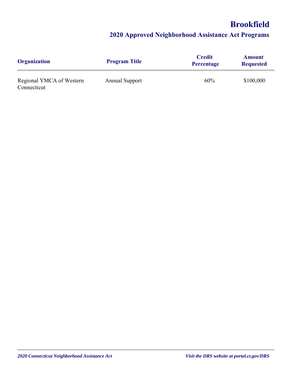## **Brookfield**

| <b>Organization</b>                     | <b>Program Title</b>  | <b>Credit</b><br>Percentage | <b>Amount</b><br><b>Requested</b> |
|-----------------------------------------|-----------------------|-----------------------------|-----------------------------------|
| Regional YMCA of Western<br>Connecticut | <b>Annual Support</b> | 60%                         | \$100,000                         |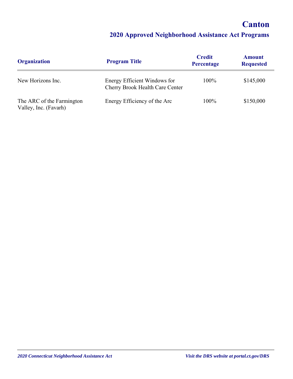#### **Canton**

| <b>Organization</b>                                | <b>Program Title</b>                                            | <b>Credit</b><br>Percentage | <b>Amount</b><br><b>Requested</b> |
|----------------------------------------------------|-----------------------------------------------------------------|-----------------------------|-----------------------------------|
| New Horizons Inc.                                  | Energy Efficient Windows for<br>Cherry Brook Health Care Center | $100\%$                     | \$145,000                         |
| The ARC of the Farmington<br>Valley, Inc. (Favarh) | Energy Efficiency of the Arc                                    | 100%                        | \$150,000                         |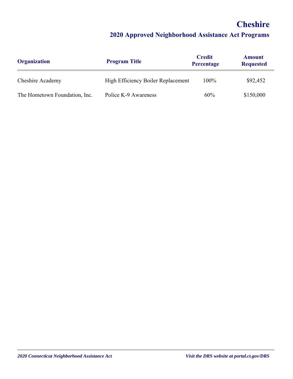## **Cheshire**

| <b>Organization</b>           | <b>Program Title</b>               | <b>Credit</b><br><b>Percentage</b> | <b>Amount</b><br><b>Requested</b> |
|-------------------------------|------------------------------------|------------------------------------|-----------------------------------|
| Cheshire Academy              | High Efficiency Boiler Replacement | 100%                               | \$92,452                          |
| The Hometown Foundation, Inc. | Police K-9 Awareness               | 60%                                | \$150,000                         |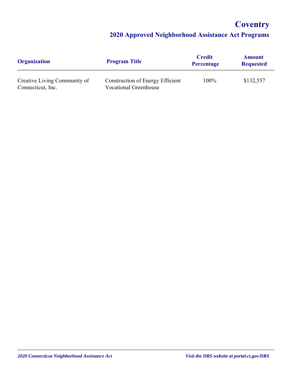## **Coventry**

| <b>Organization</b>                               | <b>Program Title</b>                                             | <b>Credit</b><br><b>Percentage</b> | <b>Amount</b><br><b>Requested</b> |
|---------------------------------------------------|------------------------------------------------------------------|------------------------------------|-----------------------------------|
| Creative Living Community of<br>Connecticut, Inc. | Construction of Energy Efficient<br><b>Vocational Greenhouse</b> | 100%                               | \$132,557                         |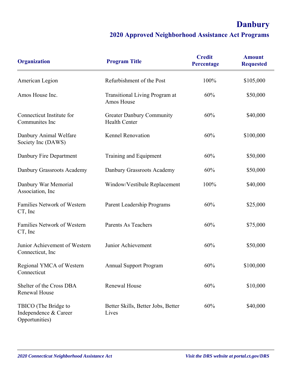## **Danbury**

| <b>Organization</b>                                             | <b>Program Title</b>                                     | <b>Credit</b><br>Percentage | <b>Amount</b><br><b>Requested</b> |
|-----------------------------------------------------------------|----------------------------------------------------------|-----------------------------|-----------------------------------|
| American Legion                                                 | Refurbishment of the Post                                | 100%                        | \$105,000                         |
| Amos House Inc.                                                 | <b>Transitional Living Program at</b><br>Amos House      | 60%                         | \$50,000                          |
| Connecticut Institute for<br>Communites Inc                     | <b>Greater Danbury Community</b><br><b>Health Center</b> | 60%                         | \$40,000                          |
| Danbury Animal Welfare<br>Society Inc (DAWS)                    | <b>Kennel Renovation</b>                                 | 60%                         | \$100,000                         |
| Danbury Fire Department                                         | Training and Equipment                                   | 60%                         | \$50,000                          |
| Danbury Grassroots Academy                                      | Danbury Grassroots Academy                               | 60%                         | \$50,000                          |
| Danbury War Memorial<br>Association, Inc                        | Window/Vestibule Replacement                             | 100%                        | \$40,000                          |
| Families Network of Western<br>CT, Inc                          | Parent Leadership Programs                               | 60%                         | \$25,000                          |
| Families Network of Western<br>CT, Inc                          | <b>Parents As Teachers</b>                               | 60%                         | \$75,000                          |
| Junior Achievement of Western<br>Connecticut, Inc.              | Junior Achievement                                       | 60%                         | \$50,000                          |
| Regional YMCA of Western<br>Connecticut                         | <b>Annual Support Program</b>                            | 60%                         | \$100,000                         |
| Shelter of the Cross DBA<br>Renewal House                       | Renewal House                                            | 60%                         | \$10,000                          |
| TBICO (The Bridge to<br>Independence & Career<br>Opportunities) | Better Skills, Better Jobs, Better<br>Lives              | 60%                         | \$40,000                          |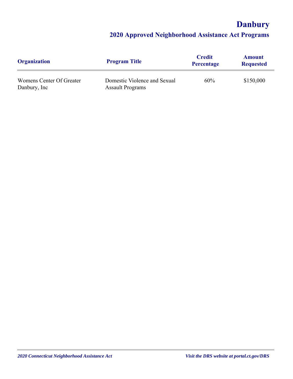## **Danbury**

| <b>Organization</b>                      | <b>Program Title</b>                                    | <b>Credit</b><br>Percentage | <b>Amount</b><br><b>Requested</b> |
|------------------------------------------|---------------------------------------------------------|-----------------------------|-----------------------------------|
| Womens Center Of Greater<br>Danbury, Inc | Domestic Violence and Sexual<br><b>Assault Programs</b> | 60%                         | \$150,000                         |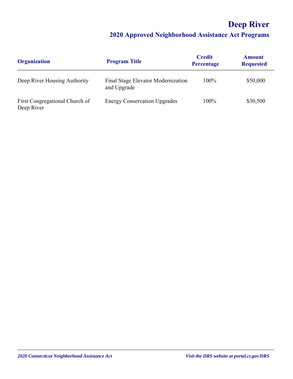## **Deep River**

| <b>Organization</b>                          | <b>Program Title</b>                              | <b>Credit</b><br>Percentage | <b>Amount</b><br><b>Requested</b> |
|----------------------------------------------|---------------------------------------------------|-----------------------------|-----------------------------------|
| Deep River Housing Authority                 | Final Stage Elevator Modernization<br>and Upgrade | 100%                        | \$50,000                          |
| First Congregational Church of<br>Deep River | <b>Energy Conservation Upgrades</b>               | 100%                        | \$30,500                          |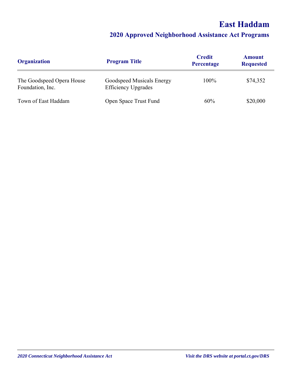## **East Haddam**

| <b>Organization</b>                           | <b>Program Title</b>                                    | <b>Credit</b><br>Percentage | <b>Amount</b><br><b>Requested</b> |
|-----------------------------------------------|---------------------------------------------------------|-----------------------------|-----------------------------------|
| The Goodspeed Opera House<br>Foundation, Inc. | Goodspeed Musicals Energy<br><b>Efficiency Upgrades</b> | $100\%$                     | \$74,352                          |
| Town of East Haddam                           | Open Space Trust Fund                                   | 60%                         | \$20,000                          |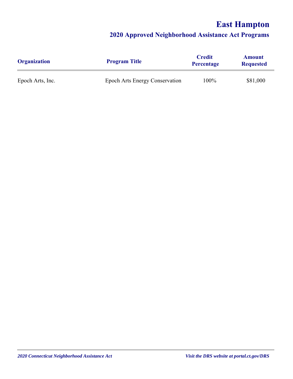## **East Hampton**

| <b>Organization</b> | <b>Program Title</b>                  | <b>Credit</b><br><b>Percentage</b> | <b>Amount</b><br><b>Requested</b> |
|---------------------|---------------------------------------|------------------------------------|-----------------------------------|
| Epoch Arts, Inc.    | <b>Epoch Arts Energy Conservation</b> | 100%                               | \$81,000                          |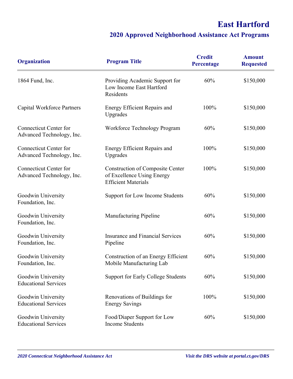## **East Hartford**

| <b>Organization</b>                                        | <b>Program Title</b>                                                                                | <b>Credit</b><br>Percentage | <b>Amount</b><br><b>Requested</b> |
|------------------------------------------------------------|-----------------------------------------------------------------------------------------------------|-----------------------------|-----------------------------------|
| 1864 Fund, Inc.                                            | Providing Academic Support for<br>Low Income East Hartford<br>Residents                             | 60%                         | \$150,000                         |
| Capital Workforce Partners                                 | Energy Efficient Repairs and<br>Upgrades                                                            | 100%                        | \$150,000                         |
| <b>Connecticut Center for</b><br>Advanced Technology, Inc. | Workforce Technology Program                                                                        | 60%                         | \$150,000                         |
| <b>Connecticut Center for</b><br>Advanced Technology, Inc. | <b>Energy Efficient Repairs and</b><br>Upgrades                                                     | 100%                        | \$150,000                         |
| <b>Connecticut Center for</b><br>Advanced Technology, Inc. | <b>Construction of Composite Center</b><br>of Excellence Using Energy<br><b>Efficient Materials</b> | 100%                        | \$150,000                         |
| Goodwin University<br>Foundation, Inc.                     | Support for Low Income Students                                                                     | 60%                         | \$150,000                         |
| Goodwin University<br>Foundation, Inc.                     | <b>Manufacturing Pipeline</b>                                                                       | 60%                         | \$150,000                         |
| Goodwin University<br>Foundation, Inc.                     | <b>Insurance and Financial Services</b><br>Pipeline                                                 | 60%                         | \$150,000                         |
| Goodwin University<br>Foundation, Inc.                     | Construction of an Energy Efficient<br>Mobile Manufacturing Lab                                     | 60%                         | \$150,000                         |
| Goodwin University<br><b>Educational Services</b>          | Support for Early College Students                                                                  | 60%                         | \$150,000                         |
| Goodwin University<br><b>Educational Services</b>          | Renovations of Buildings for<br><b>Energy Savings</b>                                               | 100%                        | \$150,000                         |
| Goodwin University<br><b>Educational Services</b>          | Food/Diaper Support for Low<br><b>Income Students</b>                                               | 60%                         | \$150,000                         |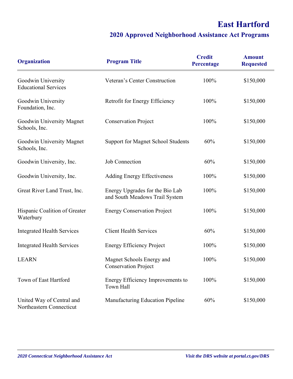## **East Hartford**

| <b>Organization</b>                                   | <b>Program Title</b>                                              | <b>Credit</b><br>Percentage | <b>Amount</b><br><b>Requested</b> |
|-------------------------------------------------------|-------------------------------------------------------------------|-----------------------------|-----------------------------------|
| Goodwin University<br><b>Educational Services</b>     | Veteran's Center Construction                                     | 100%                        | \$150,000                         |
| Goodwin University<br>Foundation, Inc.                | Retrofit for Energy Efficiency                                    | 100%                        | \$150,000                         |
| Goodwin University Magnet<br>Schools, Inc.            | <b>Conservation Project</b>                                       | 100%                        | \$150,000                         |
| Goodwin University Magnet<br>Schools, Inc.            | Support for Magnet School Students                                | 60%                         | \$150,000                         |
| Goodwin University, Inc.                              | <b>Job Connection</b>                                             | 60%                         | \$150,000                         |
| Goodwin University, Inc.                              | <b>Adding Energy Effectiveness</b>                                | 100%                        | \$150,000                         |
| Great River Land Trust, Inc.                          | Energy Upgrades for the Bio Lab<br>and South Meadows Trail System | 100%                        | \$150,000                         |
| Hispanic Coalition of Greater<br>Waterbury            | <b>Energy Conservation Project</b>                                | 100%                        | \$150,000                         |
| <b>Integrated Health Services</b>                     | <b>Client Health Services</b>                                     | 60%                         | \$150,000                         |
| <b>Integrated Health Services</b>                     | <b>Energy Efficiency Project</b>                                  | 100%                        | \$150,000                         |
| <b>LEARN</b>                                          | Magnet Schools Energy and<br><b>Conservation Project</b>          | 100%                        | \$150,000                         |
| Town of East Hartford                                 | Energy Efficiency Improvements to<br>Town Hall                    | 100%                        | \$150,000                         |
| United Way of Central and<br>Northeastern Connecticut | Manufacturing Education Pipeline                                  | 60%                         | \$150,000                         |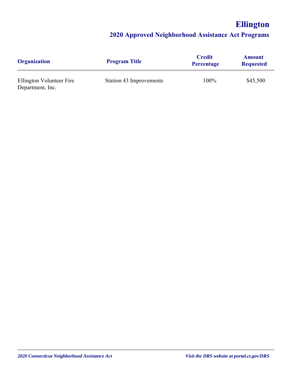## **Ellington**

| <b>Organization</b>                          | <b>Program Title</b>    | <b>Credit</b><br><b>Percentage</b> | <b>Amount</b><br><b>Requested</b> |
|----------------------------------------------|-------------------------|------------------------------------|-----------------------------------|
| Ellington Volunteer Fire<br>Department, Inc. | Station 43 Improvements | 100%                               | \$45,500                          |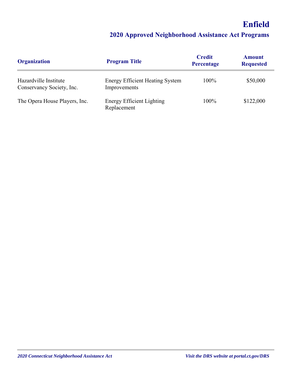## **Enfield**

| <b>Organization</b>                                | <b>Program Title</b>                                   | <b>Credit</b><br>Percentage | <b>Amount</b><br><b>Requested</b> |
|----------------------------------------------------|--------------------------------------------------------|-----------------------------|-----------------------------------|
| Hazardville Institute<br>Conservancy Society, Inc. | <b>Energy Efficient Heating System</b><br>Improvements | 100%                        | \$50,000                          |
| The Opera House Players, Inc.                      | <b>Energy Efficient Lighting</b><br>Replacement        | 100%                        | \$122,000                         |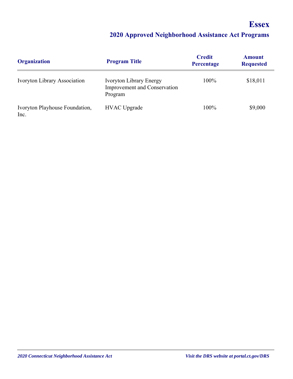## **Essex**

| <b>Organization</b>                    | <b>Program Title</b>                                                             | <b>Credit</b><br>Percentage | <b>Amount</b><br><b>Requested</b> |
|----------------------------------------|----------------------------------------------------------------------------------|-----------------------------|-----------------------------------|
| <b>Ivoryton Library Association</b>    | <b>Ivoryton Library Energy</b><br><b>Improvement and Conservation</b><br>Program | 100%                        | \$18,011                          |
| Ivoryton Playhouse Foundation,<br>Inc. | <b>HVAC</b> Upgrade                                                              | 100%                        | \$9,000                           |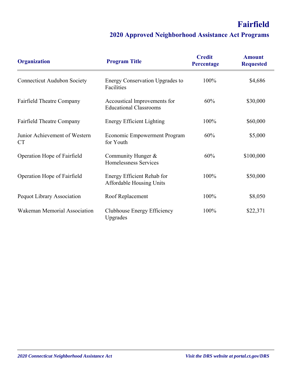## **Fairfield**

| <b>Organization</b>                        | <b>Program Title</b>                                          | <b>Credit</b><br>Percentage | <b>Amount</b><br><b>Requested</b> |
|--------------------------------------------|---------------------------------------------------------------|-----------------------------|-----------------------------------|
| <b>Connecticut Audubon Society</b>         | Energy Conservation Upgrades to<br>Facilities                 | 100%                        | \$4,686                           |
| <b>Fairfield Theatre Company</b>           | Accoustical Improvements for<br><b>Educational Classrooms</b> | 60%                         | \$30,000                          |
| <b>Fairfield Theatre Company</b>           | <b>Energy Efficient Lighting</b>                              | 100%                        | \$60,000                          |
| Junior Achievement of Western<br><b>CT</b> | Economic Empowerment Program<br>for Youth                     | 60%                         | \$5,000                           |
| Operation Hope of Fairfield                | Community Hunger &<br>Homelessness Services                   | 60%                         | \$100,000                         |
| Operation Hope of Fairfield                | Energy Efficient Rehab for<br><b>Affordable Housing Units</b> | 100%                        | \$50,000                          |
| Pequot Library Association                 | Roof Replacement                                              | 100%                        | \$8,050                           |
| Wakeman Memorial Association               | Clubhouse Energy Efficiency<br>Upgrades                       | 100%                        | \$22,371                          |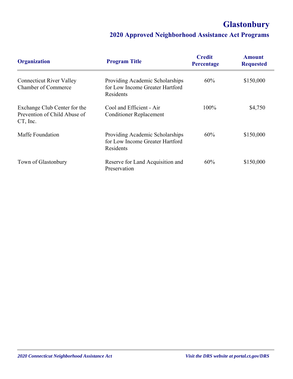## **Glastonbury**

| <b>Organization</b>                                                      | <b>Program Title</b>                                                            | <b>Credit</b><br>Percentage | <b>Amount</b><br><b>Requested</b> |
|--------------------------------------------------------------------------|---------------------------------------------------------------------------------|-----------------------------|-----------------------------------|
| <b>Connecticut River Valley</b><br>Chamber of Commerce                   | Providing Academic Scholarships<br>for Low Income Greater Hartford<br>Residents | $60\%$                      | \$150,000                         |
| Exchange Club Center for the<br>Prevention of Child Abuse of<br>CT, Inc. | Cool and Efficient - Air<br><b>Conditioner Replacement</b>                      | 100%                        | \$4,750                           |
| Maffe Foundation                                                         | Providing Academic Scholarships<br>for Low Income Greater Hartford<br>Residents | $60\%$                      | \$150,000                         |
| Town of Glastonbury                                                      | Reserve for Land Acquisition and<br>Preservation                                | 60%                         | \$150,000                         |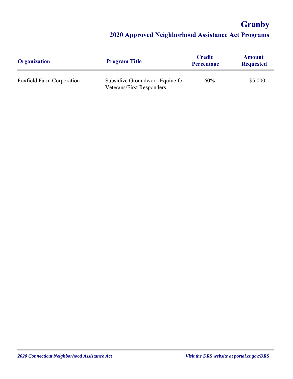**Granby**

| <b>Organization</b>       | <b>Program Title</b>                                                | <b>Credit</b><br><b>Percentage</b> | <b>Amount</b><br><b>Requested</b> |
|---------------------------|---------------------------------------------------------------------|------------------------------------|-----------------------------------|
| Foxfield Farm Corporation | Subsidize Groundwork Equine for<br><b>Veterans/First Responders</b> | 60%                                | \$5,000                           |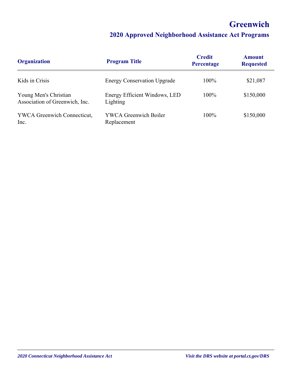## **Greenwich**

| <b>Organization</b>                                     | <b>Program Title</b>                        | <b>Credit</b><br>Percentage | <b>Amount</b><br><b>Requested</b> |
|---------------------------------------------------------|---------------------------------------------|-----------------------------|-----------------------------------|
| Kids in Crisis                                          | <b>Energy Conservation Upgrade</b>          | 100%                        | \$21,087                          |
| Young Men's Christian<br>Association of Greenwich, Inc. | Energy Efficient Windows, LED<br>Lighting   | $100\%$                     | \$150,000                         |
| <b>YWCA Greenwich Connecticut,</b><br>Inc.              | <b>YWCA Greenwich Boiler</b><br>Replacement | 100%                        | \$150,000                         |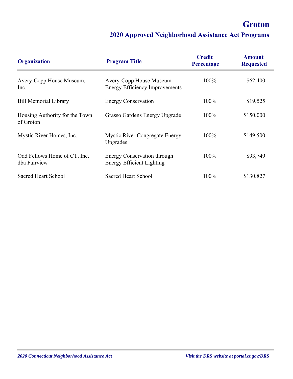## **Groton**

| <b>Organization</b>                          | <b>Program Title</b>                                                   | <b>Credit</b><br>Percentage | <b>Amount</b><br><b>Requested</b> |
|----------------------------------------------|------------------------------------------------------------------------|-----------------------------|-----------------------------------|
| Avery-Copp House Museum,<br>Inc.             | Avery-Copp House Museum<br><b>Energy Efficiency Improvements</b>       | 100%                        | \$62,400                          |
| <b>Bill Memorial Library</b>                 | <b>Energy Conservation</b>                                             | 100%                        | \$19,525                          |
| Housing Authority for the Town<br>of Groton  | Grasso Gardens Energy Upgrade                                          | 100%                        | \$150,000                         |
| Mystic River Homes, Inc.                     | <b>Mystic River Congregate Energy</b><br>Upgrades                      | 100%                        | \$149,500                         |
| Odd Fellows Home of CT, Inc.<br>dba Fairview | <b>Energy Conservation through</b><br><b>Energy Efficient Lighting</b> | 100%                        | \$93,749                          |
| <b>Sacred Heart School</b>                   | Sacred Heart School                                                    | 100%                        | \$130,827                         |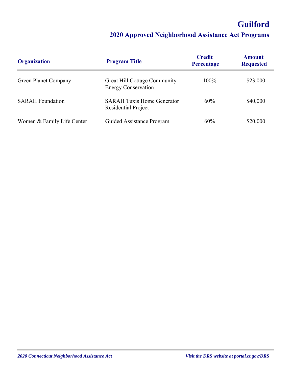## **Guilford**

| <b>Organization</b>         | <b>Program Title</b>                                         | <b>Credit</b><br>Percentage | <b>Amount</b><br><b>Requested</b> |
|-----------------------------|--------------------------------------------------------------|-----------------------------|-----------------------------------|
| <b>Green Planet Company</b> | Great Hill Cottage Community –<br><b>Energy Conservation</b> | 100%                        | \$23,000                          |
| <b>SARAH</b> Foundation     | <b>SARAH Tuxis Home Generator</b><br>Residential Project     | $60\%$                      | \$40,000                          |
| Women & Family Life Center  | Guided Assistance Program                                    | 60%                         | \$20,000                          |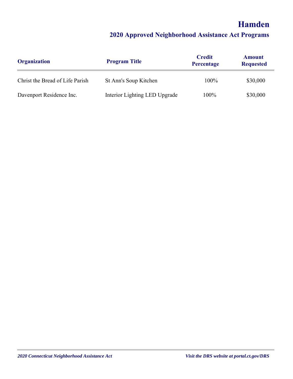## **Hamden**

| <b>Organization</b>             | <b>Program Title</b>          | <b>Credit</b><br>Percentage | <b>Amount</b><br><b>Requested</b> |
|---------------------------------|-------------------------------|-----------------------------|-----------------------------------|
| Christ the Bread of Life Parish | St Ann's Soup Kitchen         | 100%                        | \$30,000                          |
| Davenport Residence Inc.        | Interior Lighting LED Upgrade | 100%                        | \$30,000                          |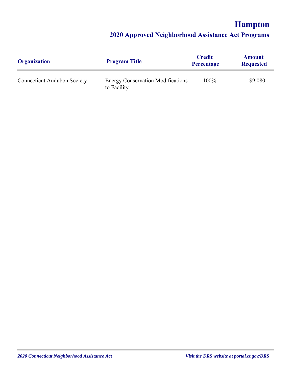## **Hampton**

| <b>Organization</b>                | <b>Program Title</b>                                    | <b>Credit</b><br><b>Percentage</b> | <b>Amount</b><br><b>Requested</b> |
|------------------------------------|---------------------------------------------------------|------------------------------------|-----------------------------------|
| <b>Connecticut Audubon Society</b> | <b>Energy Conservation Modifications</b><br>to Facility | 100%                               | \$9,080                           |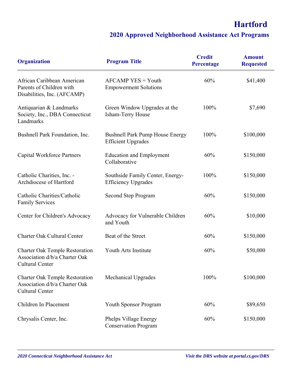| <b>Organization</b>                                                                              | <b>Program Title</b>                                                | <b>Credit</b><br>Percentage | <b>Amount</b><br><b>Requested</b> |
|--------------------------------------------------------------------------------------------------|---------------------------------------------------------------------|-----------------------------|-----------------------------------|
| African Caribbean American<br>Parents of Children with<br>Disabilities, Inc. (AFCAMP)            | <b>AFCAMP YES = Youth</b><br><b>Empowerment Solutions</b>           | 60%                         | \$41,400                          |
| Antiquarian & Landmarks<br>Society, Inc., DBA Connecticut<br>Landmarks                           | Green Window Upgrades at the<br>Isham-Terry House                   | 100%                        | \$7,690                           |
| Bushnell Park Foundation, Inc.                                                                   | <b>Bushnell Park Pump House Energy</b><br><b>Efficient Upgrades</b> | 100%                        | \$100,000                         |
| <b>Capital Workforce Partners</b>                                                                | <b>Education and Employment</b><br>Collaborative                    | 60%                         | \$150,000                         |
| Catholic Charities, Inc. -<br>Archdiocese of Hartford                                            | Southside Family Center, Energy-<br><b>Efficiency Upgrades</b>      | 100%                        | \$150,000                         |
| Catholic Charities/Catholic<br><b>Family Services</b>                                            | Second Step Program                                                 | 60%                         | \$150,000                         |
| Center for Children's Advocacy                                                                   | Advocacy for Vulnerable Children<br>and Youth                       | 60%                         | \$10,000                          |
| <b>Charter Oak Cultural Center</b>                                                               | Beat of the Street                                                  | 60%                         | \$150,000                         |
| <b>Charter Oak Temple Restoration</b><br>Association d/b/a Charter Oak<br><b>Cultural Center</b> | Youth Arts Institute                                                | 60%                         | \$50,000                          |
| <b>Charter Oak Temple Restoration</b><br>Association d/b/a Charter Oak<br><b>Cultural Center</b> | Mechanical Upgrades                                                 | 100%                        | \$100,000                         |
| Children In Placement                                                                            | <b>Youth Sponsor Program</b>                                        | 60%                         | \$89,650                          |
| Chrysalis Center, Inc.                                                                           | Phelps Village Energy<br><b>Conservation Program</b>                | 60%                         | \$150,000                         |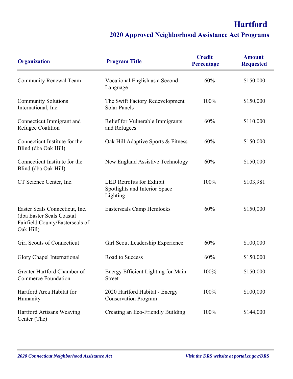| <b>Organization</b>                                                                                         | <b>Program Title</b>                                                   | <b>Credit</b><br>Percentage | <b>Amount</b><br><b>Requested</b> |
|-------------------------------------------------------------------------------------------------------------|------------------------------------------------------------------------|-----------------------------|-----------------------------------|
| <b>Community Renewal Team</b>                                                                               | Vocational English as a Second<br>Language                             | 60%                         | \$150,000                         |
| <b>Community Solutions</b><br>International, Inc.                                                           | The Swift Factory Redevelopment<br><b>Solar Panels</b>                 | 100%                        | \$150,000                         |
| Connecticut Immigrant and<br>Refugee Coalition                                                              | Relief for Vulnerable Immigrants<br>and Refugees                       | 60%                         | \$110,000                         |
| Connecticut Institute for the<br>Blind (dba Oak Hill)                                                       | Oak Hill Adaptive Sports & Fitness                                     | 60%                         | \$150,000                         |
| Connecticut Institute for the<br>Blind (dba Oak Hill)                                                       | New England Assistive Technology                                       | 60%                         | \$150,000                         |
| CT Science Center, Inc.                                                                                     | LED Retrofits for Exhibit<br>Spotlights and Interior Space<br>Lighting | 100%                        | \$103,981                         |
| Easter Seals Connecticut, Inc.<br>(dba Easter Seals Coastal<br>Fairfield County/Easterseals of<br>Oak Hill) | <b>Easterseals Camp Hemlocks</b>                                       | 60%                         | \$150,000                         |
| <b>Girl Scouts of Connecticut</b>                                                                           | Girl Scout Leadership Experience                                       | 60%                         | \$100,000                         |
| Glory Chapel International                                                                                  | Road to Success                                                        | 60%                         | \$150,000                         |
| Greater Hartford Chamber of<br><b>Commerce Foundation</b>                                                   | Energy Efficient Lighting for Main<br><b>Street</b>                    | 100%                        | \$150,000                         |
| Hartford Area Habitat for<br>Humanity                                                                       | 2020 Hartford Habitat - Energy<br><b>Conservation Program</b>          | 100%                        | \$100,000                         |
| Hartford Artisans Weaving<br>Center (The)                                                                   | Creating an Eco-Friendly Building                                      | 100%                        | \$144,000                         |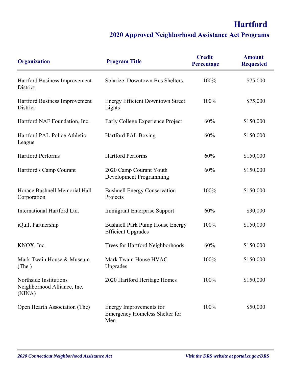| <b>Organization</b>                                             | <b>Program Title</b>                                                    | <b>Credit</b><br>Percentage | <b>Amount</b><br><b>Requested</b> |
|-----------------------------------------------------------------|-------------------------------------------------------------------------|-----------------------------|-----------------------------------|
| Hartford Business Improvement<br>District                       | Solarize Downtown Bus Shelters                                          | 100%                        | \$75,000                          |
| Hartford Business Improvement<br>District                       | <b>Energy Efficient Downtown Street</b><br>Lights                       | 100%                        | \$75,000                          |
| Hartford NAF Foundation, Inc.                                   | Early College Experience Project                                        | 60%                         | \$150,000                         |
| Hartford PAL-Police Athletic<br>League                          | Hartford PAL Boxing                                                     | 60%                         | \$150,000                         |
| <b>Hartford Performs</b>                                        | <b>Hartford Performs</b>                                                | 60%                         | \$150,000                         |
| Hartford's Camp Courant                                         | 2020 Camp Courant Youth<br>Development Programming                      | 60%                         | \$150,000                         |
| Horace Bushnell Memorial Hall<br>Corporation                    | <b>Bushnell Energy Conservation</b><br>Projects                         | 100%                        | \$150,000                         |
| International Hartford Ltd.                                     | <b>Immigrant Enterprise Support</b>                                     | 60%                         | \$30,000                          |
| iQuilt Partnership                                              | <b>Bushnell Park Pump House Energy</b><br><b>Efficient Upgrades</b>     | 100%                        | \$150,000                         |
| KNOX, Inc.                                                      | Trees for Hartford Neighborhoods                                        | 60%                         | \$150,000                         |
| Mark Twain House & Museum<br>(The )                             | Mark Twain House HVAC<br>Upgrades                                       | 100%                        | \$150,000                         |
| Northside Institutions<br>Neighborhood Alliance, Inc.<br>(NINA) | 2020 Hartford Heritage Homes                                            | 100%                        | \$150,000                         |
| Open Hearth Association (The)                                   | Energy Improvements for<br><b>Emergency Homeless Shelter for</b><br>Men | 100%                        | \$50,000                          |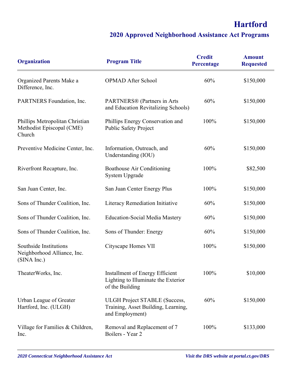| <b>Organization</b>                                                    | <b>Program Title</b>                                                                           | <b>Credit</b><br>Percentage | <b>Amount</b><br><b>Requested</b> |
|------------------------------------------------------------------------|------------------------------------------------------------------------------------------------|-----------------------------|-----------------------------------|
| Organized Parents Make a<br>Difference, Inc.                           | <b>OPMAD After School</b>                                                                      | 60%                         | \$150,000                         |
| PARTNERS Foundation, Inc.                                              | PARTNERS® (Partners in Arts<br>and Education Revitalizing Schools)                             | 60%                         | \$150,000                         |
| Phillips Metropolitan Christian<br>Methodist Episcopal (CME)<br>Church | Phillips Energy Conservation and<br><b>Public Safety Project</b>                               | 100%                        | \$150,000                         |
| Preventive Medicine Center, Inc.                                       | Information, Outreach, and<br>Understanding (IOU)                                              | 60%                         | \$150,000                         |
| Riverfront Recapture, Inc.                                             | <b>Boathouse Air Conditioning</b><br>System Upgrade                                            | 100%                        | \$82,500                          |
| San Juan Center, Inc.                                                  | San Juan Center Energy Plus                                                                    | 100%                        | \$150,000                         |
| Sons of Thunder Coalition, Inc.                                        | Literacy Remediation Initiative                                                                | 60%                         | \$150,000                         |
| Sons of Thunder Coalition, Inc.                                        | <b>Education-Social Media Mastery</b>                                                          | 60%                         | \$150,000                         |
| Sons of Thunder Coalition, Inc.                                        | Sons of Thunder: Energy                                                                        | 60%                         | \$150,000                         |
| Southside Institutions<br>Neighborhood Alliance, Inc.<br>(SINA Inc.)   | Cityscape Homes VII                                                                            | 100%                        | \$150,000                         |
| TheaterWorks, Inc.                                                     | Installment of Energy Efficient<br>Lighting to Illuminate the Exterior<br>of the Building      | 100%                        | \$10,000                          |
| Urban League of Greater<br>Hartford, Inc. (ULGH)                       | <b>ULGH Project STABLE (Success,</b><br>Training, Asset Building, Learning,<br>and Employment) | 60%                         | \$150,000                         |
| Village for Families & Children,<br>Inc.                               | Removal and Replacement of 7<br>Boilers - Year 2                                               | 100%                        | \$133,000                         |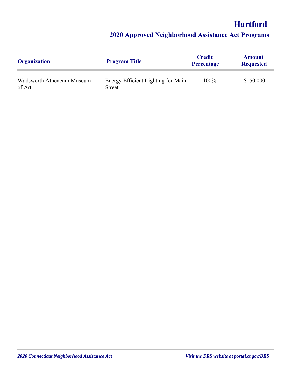| <b>Organization</b>                 | <b>Program Title</b>                         | <b>Credit</b><br><b>Percentage</b> | <b>Amount</b><br><b>Requested</b> |
|-------------------------------------|----------------------------------------------|------------------------------------|-----------------------------------|
| Wadsworth Atheneum Museum<br>of Art | Energy Efficient Lighting for Main<br>Street | 100%                               | \$150,000                         |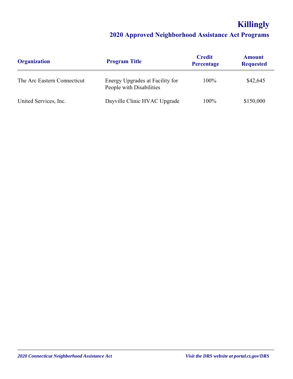# **Killingly**

| <b>Organization</b>         | <b>Program Title</b>                                        | <b>Credit</b><br><b>Percentage</b> | <b>Amount</b><br><b>Requested</b> |
|-----------------------------|-------------------------------------------------------------|------------------------------------|-----------------------------------|
| The Arc Eastern Connecticut | Energy Upgrades at Facility for<br>People with Disabilities | 100%                               | \$42,645                          |
| United Services, Inc.       | Dayville Clinic HVAC Upgrade                                | 100%                               | \$150,000                         |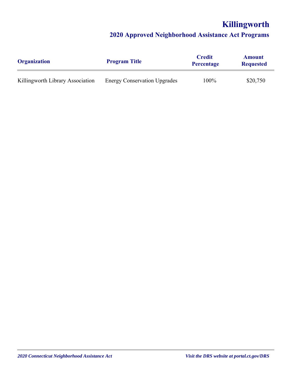# **Killingworth**

| <b>Organization</b>              | <b>Program Title</b>                | <b>Credit</b><br><b>Percentage</b> | <b>Amount</b><br><b>Requested</b> |
|----------------------------------|-------------------------------------|------------------------------------|-----------------------------------|
| Killingworth Library Association | <b>Energy Conservation Upgrades</b> | 100%                               | \$20,750                          |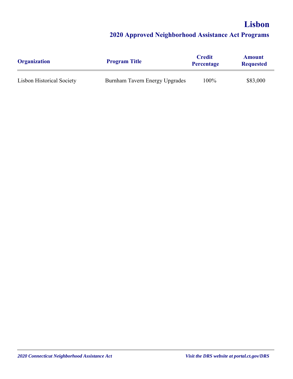# **Lisbon 2020 Approved Neighborhood Assistance Act Programs**

| <b>Organization</b>              | <b>Program Title</b>           | <b>Credit</b><br><b>Percentage</b> | <b>Amount</b><br><b>Requested</b> |
|----------------------------------|--------------------------------|------------------------------------|-----------------------------------|
| <b>Lisbon Historical Society</b> | Burnham Tavern Energy Upgrades | 100%                               | \$83,000                          |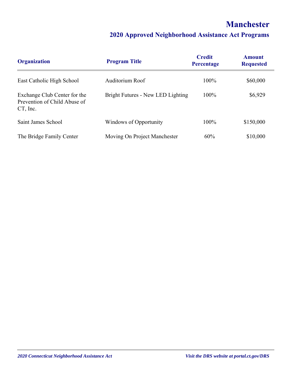## **Manchester**

| <b>Organization</b>                                                         | <b>Program Title</b>              | <b>Credit</b><br>Percentage | <b>Amount</b><br><b>Requested</b> |
|-----------------------------------------------------------------------------|-----------------------------------|-----------------------------|-----------------------------------|
| East Catholic High School                                                   | Auditorium Roof                   | $100\%$                     | \$60,000                          |
| Exchange Club Center for the<br>Prevention of Child Abuse of<br>$CT$ , Inc. | Bright Futures - New LED Lighting | 100%                        | \$6,929                           |
| Saint James School                                                          | Windows of Opportunity            | 100%                        | \$150,000                         |
| The Bridge Family Center                                                    | Moving On Project Manchester      | 60%                         | \$10,000                          |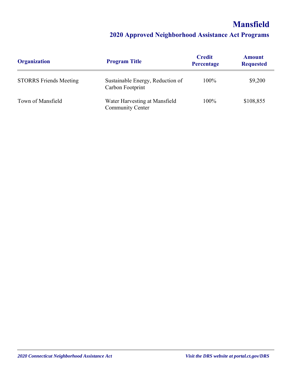# **Mansfield**

| <b>Organization</b>           | <b>Program Title</b>                                 | <b>Credit</b><br><b>Percentage</b> | <b>Amount</b><br><b>Requested</b> |
|-------------------------------|------------------------------------------------------|------------------------------------|-----------------------------------|
| <b>STORRS Friends Meeting</b> | Sustainable Energy, Reduction of<br>Carbon Footprint | 100%                               | \$9,200                           |
| Town of Mansfield             | Water Harvesting at Mansfield<br>Community Center    | 100%                               | \$108,855                         |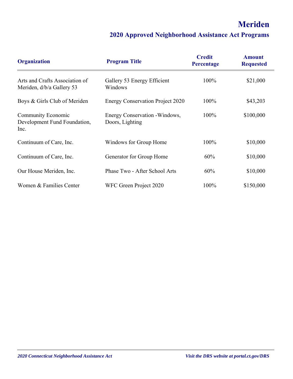# **Meriden**

| <b>Organization</b>                                               | <b>Program Title</b>                              | <b>Credit</b><br>Percentage | <b>Amount</b><br><b>Requested</b> |
|-------------------------------------------------------------------|---------------------------------------------------|-----------------------------|-----------------------------------|
| Arts and Crafts Association of<br>Meriden, d/b/a Gallery 53       | Gallery 53 Energy Efficient<br>Windows            | 100%                        | \$21,000                          |
| Boys & Girls Club of Meriden                                      | <b>Energy Conservation Project 2020</b>           | 100%                        | \$43,203                          |
| <b>Community Economic</b><br>Development Fund Foundation,<br>Inc. | Energy Conservation - Windows,<br>Doors, Lighting | 100%                        | \$100,000                         |
| Continuum of Care, Inc.                                           | Windows for Group Home                            | 100%                        | \$10,000                          |
| Continuum of Care, Inc.                                           | Generator for Group Home                          | 60%                         | \$10,000                          |
| Our House Meriden, Inc.                                           | Phase Two - After School Arts                     | 60%                         | \$10,000                          |
| Women & Families Center                                           | WFC Green Project 2020                            | 100%                        | \$150,000                         |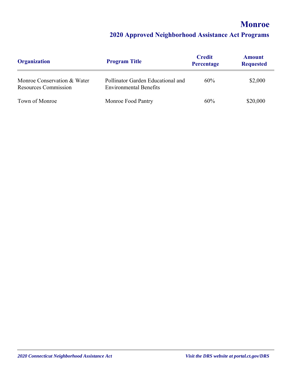## **Monroe**

| <b>Organization</b>                                        | <b>Program Title</b>                                               | <b>Credit</b><br><b>Percentage</b> | <b>Amount</b><br><b>Requested</b> |
|------------------------------------------------------------|--------------------------------------------------------------------|------------------------------------|-----------------------------------|
| Monroe Conservation & Water<br><b>Resources Commission</b> | Pollinator Garden Educational and<br><b>Environmental Benefits</b> | 60%                                | \$2,000                           |
| Town of Monroe                                             | Monroe Food Pantry                                                 | 60%                                | \$20,000                          |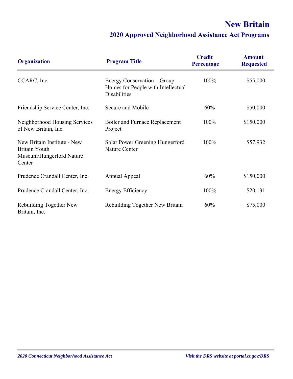# **New Britain**

| <b>Organization</b>                                                                       | <b>Program Title</b>                                                              | <b>Credit</b><br>Percentage | <b>Amount</b><br><b>Requested</b> |
|-------------------------------------------------------------------------------------------|-----------------------------------------------------------------------------------|-----------------------------|-----------------------------------|
| CCARC, Inc.                                                                               | Energy Conservation – Group<br>Homes for People with Intellectual<br>Disabilities | 100%                        | \$55,000                          |
| Friendship Service Center, Inc.                                                           | Secure and Mobile                                                                 | 60%                         | \$50,000                          |
| Neighborhood Housing Services<br>of New Britain, Inc.                                     | Boiler and Furnace Replacement<br>Project                                         | 100%                        | \$150,000                         |
| New Britain Institute - New<br><b>Britain Youth</b><br>Museum/Hungerford Nature<br>Center | Solar Power Greening Hungerford<br>Nature Center                                  | 100%                        | \$57,932                          |
| Prudence Crandall Center, Inc.                                                            | Annual Appeal                                                                     | 60%                         | \$150,000                         |
| Prudence Crandall Center, Inc.                                                            | <b>Energy Efficiency</b>                                                          | 100%                        | \$20,131                          |
| Rebuilding Together New<br>Britain, Inc.                                                  | Rebuilding Together New Britain                                                   | 60%                         | \$75,000                          |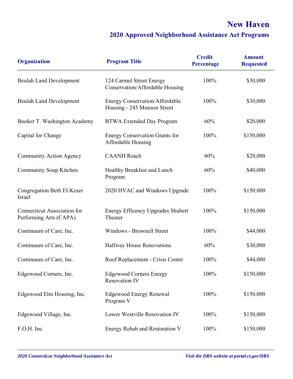# **New Haven**

| <b>Organization</b>                                          | <b>Program Title</b>                                                 | <b>Credit</b><br>Percentage | <b>Amount</b><br><b>Requested</b> |
|--------------------------------------------------------------|----------------------------------------------------------------------|-----------------------------|-----------------------------------|
| <b>Beulah Land Development</b>                               | 124 Carmel Street Energy<br>Conservation/Affordable Housing          | 100%                        | \$30,000                          |
| <b>Beulah Land Development</b>                               | <b>Energy Conservation/Affordable</b><br>Housing - 245 Munson Street | 100%                        | \$30,000                          |
| Booker T. Washington Academy                                 | <b>BTWA Extended Day Program</b>                                     | 60%                         | \$20,000                          |
| Capital for Change                                           | <b>Energy Conservation Grants for</b><br>Affordable Housing          | 100%                        | \$150,000                         |
| Community Action Agency                                      | <b>CAANH</b> Reach                                                   | 60%                         | \$20,000                          |
| Community Soup Kitchen                                       | Healthy Breakfast and Lunch<br>Program                               | 60%                         | \$40,000                          |
| Congregation Beth El-Keser<br>Israel                         | 2020 HVAC and Windows Upgrade                                        | 100%                        | \$150,000                         |
| <b>Connecticut Association for</b><br>Performing Arts (CAPA) | <b>Energy Efficency Upgrades Shubert</b><br>Theater                  | 100%                        | \$150,000                         |
| Continuum of Care, Inc.                                      | Windows - Brownell Street                                            | 100%                        | \$44,000                          |
| Continuum of Care, Inc.                                      | Halfway House Renovations                                            | 60%                         | \$30,000                          |
| Continuum of Care, Inc.                                      | Roof Replacement - Crisis Center                                     | 100%                        | \$44,000                          |
| Edgewood Corners, Inc.                                       | <b>Edgewood Corners Energy</b><br><b>Renovation IV</b>               | 100%                        | \$150,000                         |
| Edgewood Elm Housing, Inc.                                   | <b>Edgewood Energy Renewal</b><br>Program V                          | 100%                        | \$150,000                         |
| Edgewood Village, Inc.                                       | Lower Westville Renovation IV                                        | 100%                        | \$150,000                         |
| F.O.H. Inc.                                                  | Energy Rehab and Restoration V                                       | 100%                        | \$150,000                         |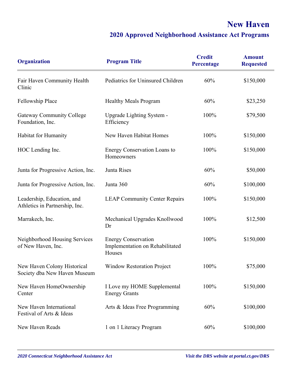# **New Haven**

| <b>Organization</b>                                          | <b>Program Title</b>                                                    | <b>Credit</b><br>Percentage | <b>Amount</b><br><b>Requested</b> |
|--------------------------------------------------------------|-------------------------------------------------------------------------|-----------------------------|-----------------------------------|
| Fair Haven Community Health<br>Clinic                        | Pediatrics for Uninsured Children                                       | 60%                         | \$150,000                         |
| Fellowship Place                                             | <b>Healthy Meals Program</b>                                            | 60%                         | \$23,250                          |
| <b>Gateway Community College</b><br>Foundation, Inc.         | Upgrade Lighting System -<br>Efficiency                                 | 100%                        | \$79,500                          |
| Habitat for Humanity                                         | New Haven Habitat Homes                                                 | 100%                        | \$150,000                         |
| HOC Lending Inc.                                             | <b>Energy Conservation Loans to</b><br>Homeowners                       | 100%                        | \$150,000                         |
| Junta for Progressive Action, Inc.                           | Junta Rises                                                             | 60%                         | \$50,000                          |
| Junta for Progressive Action, Inc.                           | Junta 360                                                               | 60%                         | \$100,000                         |
| Leadership, Education, and<br>Athletics in Partnership, Inc. | <b>LEAP Community Center Repairs</b>                                    | 100%                        | \$150,000                         |
| Marrakech, Inc.                                              | Mechanical Upgrades Knollwood<br>Dr                                     | 100%                        | \$12,500                          |
| Neighborhood Housing Services<br>of New Haven, Inc.          | <b>Energy Conservation</b><br>Implementation on Rehabilitated<br>Houses | 100%                        | \$150,000                         |
| New Haven Colony Historical<br>Society dba New Haven Museum  | <b>Window Restoration Project</b>                                       | 100%                        | \$75,000                          |
| New Haven HomeOwnership<br>Center                            | I Love my HOME Supplemental<br><b>Energy Grants</b>                     | 100%                        | \$150,000                         |
| New Haven International<br>Festival of Arts & Ideas          | Arts & Ideas Free Programming                                           | 60%                         | \$100,000                         |
| New Haven Reads                                              | 1 on 1 Literacy Program                                                 | 60%                         | \$100,000                         |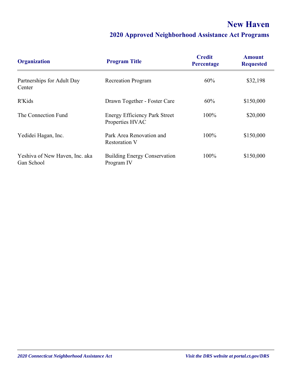# **New Haven**

| <b>Organization</b>                          | <b>Program Title</b>                                    | <b>Credit</b><br>Percentage | <b>Amount</b><br><b>Requested</b> |
|----------------------------------------------|---------------------------------------------------------|-----------------------------|-----------------------------------|
| Partnerships for Adult Day<br>Center         | <b>Recreation Program</b>                               | 60%                         | \$32,198                          |
| R'Kids                                       | Drawn Together - Foster Care                            | 60%                         | \$150,000                         |
| The Connection Fund                          | <b>Energy Efficiency Park Street</b><br>Properties HVAC | 100%                        | \$20,000                          |
| Yedidei Hagan, Inc.                          | Park Area Renovation and<br><b>Restoration V</b>        | 100%                        | \$150,000                         |
| Yeshiva of New Haven, Inc. aka<br>Gan School | <b>Building Energy Conservation</b><br>Program IV       | 100%                        | \$150,000                         |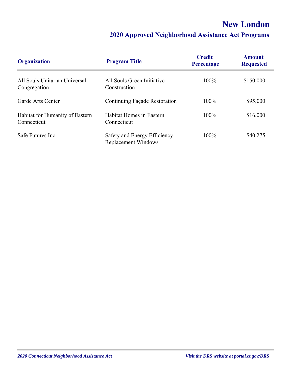# **New London**

| <b>Organization</b>                            | <b>Program Title</b>                                       | <b>Credit</b><br><b>Percentage</b> | <b>Amount</b><br><b>Requested</b> |
|------------------------------------------------|------------------------------------------------------------|------------------------------------|-----------------------------------|
| All Souls Unitarian Universal<br>Congregation  | All Souls Green Initiative<br>Construction                 | 100%                               | \$150,000                         |
| Garde Arts Center                              | Continuing Façade Restoration                              | 100%                               | \$95,000                          |
| Habitat for Humanity of Eastern<br>Connecticut | Habitat Homes in Eastern<br>Connecticut                    | $100\%$                            | \$16,000                          |
| Safe Futures Inc.                              | Safety and Energy Efficiency<br><b>Replacement Windows</b> | 100%                               | \$40,275                          |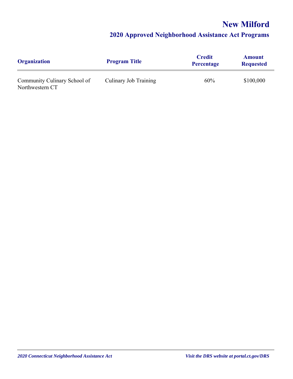# **New Milford**

| <b>Organization</b>                             | <b>Program Title</b>  | <b>Credit</b><br><b>Percentage</b> | <b>Amount</b><br><b>Requested</b> |
|-------------------------------------------------|-----------------------|------------------------------------|-----------------------------------|
| Community Culinary School of<br>Northwestern CT | Culinary Job Training | 60%                                | \$100,000                         |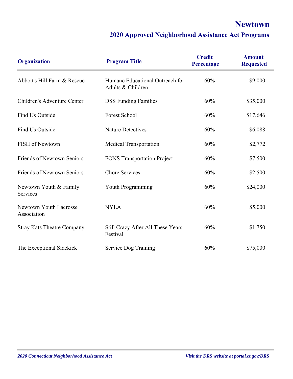## **Newtown**

| <b>Organization</b>                   | <b>Program Title</b>                                 | <b>Credit</b><br>Percentage | <b>Amount</b><br><b>Requested</b> |
|---------------------------------------|------------------------------------------------------|-----------------------------|-----------------------------------|
| Abbott's Hill Farm & Rescue           | Humane Educational Outreach for<br>Adults & Children | 60%                         | \$9,000                           |
| Children's Adventure Center           | <b>DSS Funding Families</b>                          | 60%                         | \$35,000                          |
| Find Us Outside                       | Forest School                                        | 60%                         | \$17,646                          |
| Find Us Outside                       | <b>Nature Detectives</b>                             | 60%                         | \$6,088                           |
| FISH of Newtown                       | <b>Medical Transportation</b>                        | 60%                         | \$2,772                           |
| <b>Friends of Newtown Seniors</b>     | <b>FONS Transportation Project</b>                   | 60%                         | \$7,500                           |
| <b>Friends of Newtown Seniors</b>     | <b>Chore Services</b>                                | 60%                         | \$2,500                           |
| Newtown Youth & Family<br>Services    | Youth Programming                                    | 60%                         | \$24,000                          |
| Newtown Youth Lacrosse<br>Association | <b>NYLA</b>                                          | 60%                         | \$5,000                           |
| <b>Stray Kats Theatre Company</b>     | Still Crazy After All These Years<br>Festival        | 60%                         | \$1,750                           |
| The Exceptional Sidekick              | Service Dog Training                                 | 60%                         | \$75,000                          |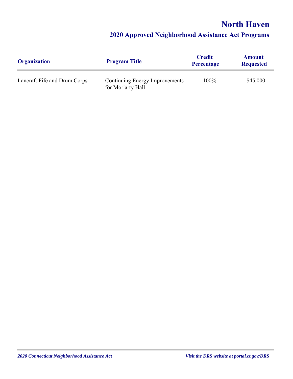## **North Haven**

| <b>Organization</b>          | <b>Program Title</b>                                | <b>Credit</b><br><b>Percentage</b> | <b>Amount</b><br><b>Requested</b> |
|------------------------------|-----------------------------------------------------|------------------------------------|-----------------------------------|
| Lancraft Fife and Drum Corps | Continuing Energy Improvements<br>for Moriarty Hall | 100%                               | \$45,000                          |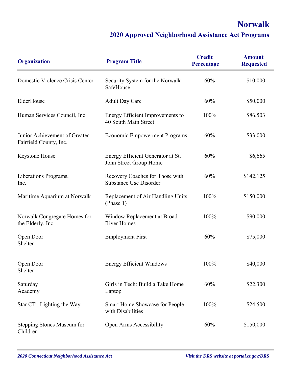## **Norwalk**

| <b>Organization</b>                                     | <b>Program Title</b>                                             | <b>Credit</b><br>Percentage | <b>Amount</b><br><b>Requested</b> |
|---------------------------------------------------------|------------------------------------------------------------------|-----------------------------|-----------------------------------|
| Domestic Violence Crisis Center                         | Security System for the Norwalk<br>SafeHouse                     | 60%                         | \$10,000                          |
| ElderHouse                                              | <b>Adult Day Care</b>                                            | 60%                         | \$50,000                          |
| Human Services Council, Inc.                            | Energy Efficient Improvements to<br>40 South Main Street         | 100%                        | \$86,503                          |
| Junior Achievement of Greater<br>Fairfield County, Inc. | <b>Economic Empowerment Programs</b>                             | 60%                         | \$33,000                          |
| Keystone House                                          | Energy Efficient Generator at St.<br>John Street Group Home      | 60%                         | \$6,665                           |
| Liberations Programs,<br>Inc.                           | Recovery Coaches for Those with<br><b>Substance Use Disorder</b> | 60%                         | \$142,125                         |
| Maritime Aquarium at Norwalk                            | Replacement of Air Handling Units<br>(Phase 1)                   | 100%                        | \$150,000                         |
| Norwalk Congregate Homes for<br>the Elderly, Inc.       | Window Replacement at Broad<br><b>River Homes</b>                | 100%                        | \$90,000                          |
| Open Door<br>Shelter                                    | <b>Employment First</b>                                          | 60%                         | \$75,000                          |
| Open Door<br>Shelter                                    | <b>Energy Efficient Windows</b>                                  | 100%                        | \$40,000                          |
| Saturday<br>Academy                                     | Girls in Tech: Build a Take Home<br>Laptop                       | 60%                         | \$22,300                          |
| Star CT., Lighting the Way                              | Smart Home Showcase for People<br>with Disabilities              | 100%                        | \$24,500                          |
| Stepping Stones Museum for<br>Children                  | Open Arms Accessibility                                          | 60%                         | \$150,000                         |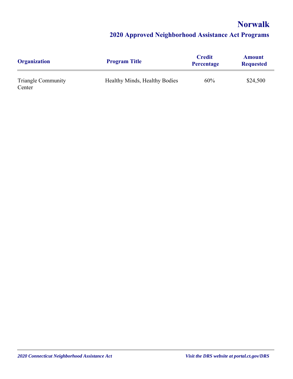## **Norwalk**

| <b>Organization</b>                 | <b>Program Title</b>          | <b>Credit</b><br><b>Percentage</b> | <b>Amount</b><br><b>Requested</b> |
|-------------------------------------|-------------------------------|------------------------------------|-----------------------------------|
| <b>Triangle Community</b><br>Center | Healthy Minds, Healthy Bodies | 60%                                | \$24,500                          |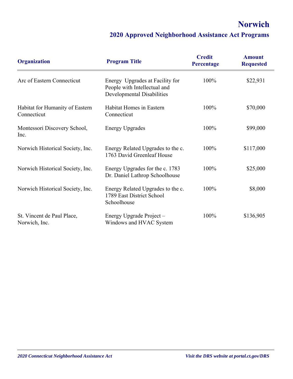# **Norwich**

| <b>Organization</b>                            | <b>Program Title</b>                                                                                 | <b>Credit</b><br><b>Percentage</b> | <b>Amount</b><br><b>Requested</b> |
|------------------------------------------------|------------------------------------------------------------------------------------------------------|------------------------------------|-----------------------------------|
| Arc of Eastern Connecticut                     | Energy Upgrades at Facility for<br>People with Intellectual and<br><b>Developmental Disabilities</b> | 100%                               | \$22,931                          |
| Habitat for Humanity of Eastern<br>Connecticut | Habitat Homes in Eastern<br>Connecticut                                                              | 100%                               | \$70,000                          |
| Montessori Discovery School,<br>Inc.           | <b>Energy Upgrades</b>                                                                               | 100%                               | \$99,000                          |
| Norwich Historical Society, Inc.               | Energy Related Upgrades to the c.<br>1763 David Greenleaf House                                      | 100%                               | \$117,000                         |
| Norwich Historical Society, Inc.               | Energy Upgrades for the c. 1783<br>Dr. Daniel Lathrop Schoolhouse                                    | 100%                               | \$25,000                          |
| Norwich Historical Society, Inc.               | Energy Related Upgrades to the c.<br>1789 East District School<br>Schoolhouse                        | 100%                               | \$8,000                           |
| St. Vincent de Paul Place,<br>Norwich, Inc.    | Energy Upgrade Project -<br>Windows and HVAC System                                                  | 100%                               | \$136,905                         |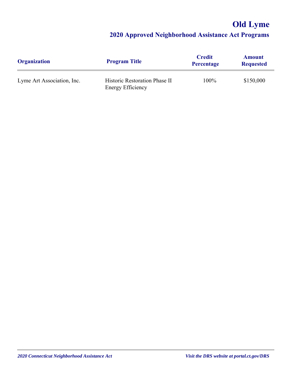# **Old Lyme**

| <b>Organization</b>        | <b>Program Title</b>                                      | <b>Credit</b><br><b>Percentage</b> | <b>Amount</b><br><b>Requested</b> |
|----------------------------|-----------------------------------------------------------|------------------------------------|-----------------------------------|
| Lyme Art Association, Inc. | Historic Restoration Phase II<br><b>Energy Efficiency</b> | 100%                               | \$150,000                         |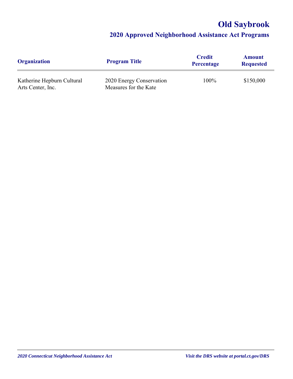# **Old Saybrook**

| <b>Organization</b>                             | <b>Program Title</b>                              | <b>Credit</b><br><b>Percentage</b> | <b>Amount</b><br><b>Requested</b> |
|-------------------------------------------------|---------------------------------------------------|------------------------------------|-----------------------------------|
| Katherine Hepburn Cultural<br>Arts Center, Inc. | 2020 Energy Conservation<br>Measures for the Kate | 100%                               | \$150,000                         |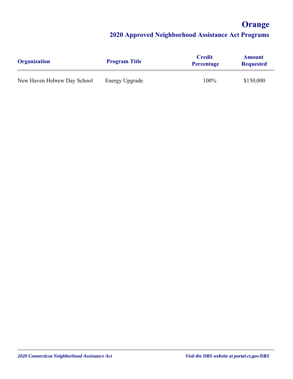# **Orange**

| <b>Organization</b>         | <b>Program Title</b> | <b>Credit</b><br><b>Percentage</b> | <b>Amount</b><br><b>Requested</b> |
|-----------------------------|----------------------|------------------------------------|-----------------------------------|
| New Haven Hebrew Day School | Energy Upgrade       | 100%                               | \$150,000                         |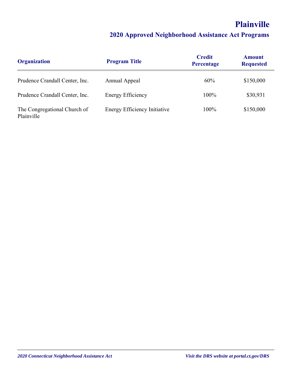# **Plainville**

| <b>Organization</b>                        | <b>Program Title</b>                | <b>Credit</b><br><b>Percentage</b> | <b>Amount</b><br><b>Requested</b> |
|--------------------------------------------|-------------------------------------|------------------------------------|-----------------------------------|
| Prudence Crandall Center, Inc.             | Annual Appeal                       | 60%                                | \$150,000                         |
| Prudence Crandall Center, Inc.             | <b>Energy Efficiency</b>            | 100%                               | \$30,931                          |
| The Congregational Church of<br>Plainville | <b>Energy Efficiency Initiative</b> | 100%                               | \$150,000                         |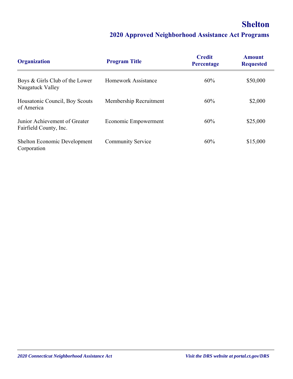## **Shelton**

| <b>Organization</b>                                     | <b>Program Title</b>       | <b>Credit</b><br>Percentage | <b>Amount</b><br><b>Requested</b> |
|---------------------------------------------------------|----------------------------|-----------------------------|-----------------------------------|
| Boys & Girls Club of the Lower<br>Naugatuck Valley      | <b>Homework Assistance</b> | 60%                         | \$50,000                          |
| Housatonic Council, Boy Scouts<br>of America            | Membership Recruitment     | 60%                         | \$2,000                           |
| Junior Achievement of Greater<br>Fairfield County, Inc. | Economic Empowerment       | 60%                         | \$25,000                          |
| Shelton Economic Development<br>Corporation             | <b>Community Service</b>   | 60%                         | \$15,000                          |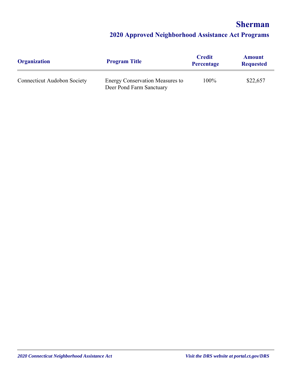## **Sherman**

| <b>Organization</b>                | <b>Program Title</b>                                               | <b>Credit</b><br>Percentage | <b>Amount</b><br><b>Requested</b> |
|------------------------------------|--------------------------------------------------------------------|-----------------------------|-----------------------------------|
| <b>Connecticut Audobon Society</b> | <b>Energy Conservation Measures to</b><br>Deer Pond Farm Sanctuary | 100%                        | \$22,657                          |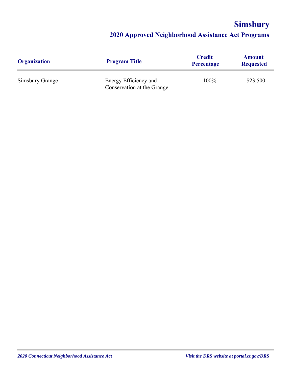# **Simsbury**

| <b>Organization</b> | <b>Program Title</b>                                | <b>Credit</b><br>Percentage | <b>Amount</b><br><b>Requested</b> |
|---------------------|-----------------------------------------------------|-----------------------------|-----------------------------------|
| Simsbury Grange     | Energy Efficiency and<br>Conservation at the Grange | 100%                        | \$23,500                          |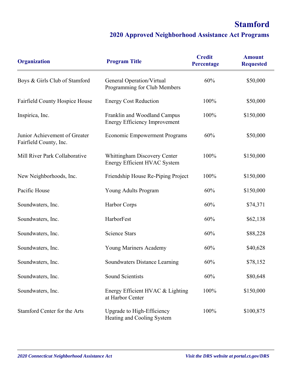# **Stamford**

| <b>Organization</b>                                     | <b>Program Title</b>                                                 | <b>Credit</b><br>Percentage | <b>Amount</b><br><b>Requested</b> |
|---------------------------------------------------------|----------------------------------------------------------------------|-----------------------------|-----------------------------------|
| Boys & Girls Club of Stamford                           | General Operation/Virtual<br>Programming for Club Members            | 60%                         | \$50,000                          |
| Fairfield County Hospice House                          | <b>Energy Cost Reduction</b>                                         | 100%                        | \$50,000                          |
| Inspirica, Inc.                                         | Franklin and Woodland Campus<br><b>Energy Efficiency Improvement</b> | 100%                        | \$150,000                         |
| Junior Achievement of Greater<br>Fairfield County, Inc. | <b>Economic Empowerment Programs</b>                                 | 60%                         | \$50,000                          |
| Mill River Park Collaborative                           | <b>Whittingham Discovery Center</b><br>Energy Efficient HVAC System  | 100%                        | \$150,000                         |
| New Neighborhoods, Inc.                                 | Friendship House Re-Piping Project                                   | 100%                        | \$150,000                         |
| Pacific House                                           | Young Adults Program                                                 | 60%                         | \$150,000                         |
| Soundwaters, Inc.                                       | Harbor Corps                                                         | 60%                         | \$74,371                          |
| Soundwaters, Inc.                                       | HarborFest                                                           | 60%                         | \$62,138                          |
| Soundwaters, Inc.                                       | <b>Science Stars</b>                                                 | 60%                         | \$88,228                          |
| Soundwaters, Inc.                                       | Young Mariners Academy                                               | 60%                         | \$40,628                          |
| Soundwaters, Inc.                                       | Soundwaters Distance Learning                                        | 60%                         | \$78,152                          |
| Soundwaters, Inc.                                       | <b>Sound Scientists</b>                                              | 60%                         | \$80,648                          |
| Soundwaters, Inc.                                       | Energy Efficient HVAC & Lighting<br>at Harbor Center                 | 100%                        | \$150,000                         |
| Stamford Center for the Arts                            | Upgrade to High-Efficiency<br>Heating and Cooling System             | 100%                        | \$100,875                         |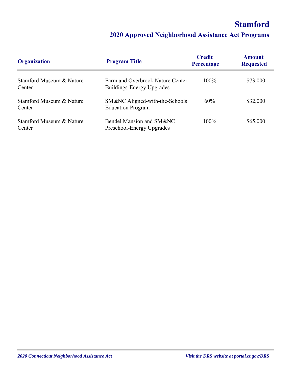# **Stamford**

| <b>Organization</b>                | <b>Program Title</b>                                          | <b>Credit</b><br><b>Percentage</b> | <b>Amount</b><br><b>Requested</b> |
|------------------------------------|---------------------------------------------------------------|------------------------------------|-----------------------------------|
| Stamford Museum & Nature<br>Center | Farm and Overbrook Nature Center<br>Buildings-Energy Upgrades | 100%                               | \$73,000                          |
| Stamford Museum & Nature<br>Center | SM&NC Aligned-with-the-Schools<br><b>Education Program</b>    | 60%                                | \$32,000                          |
| Stamford Museum & Nature<br>Center | Bendel Mansion and SM&NC<br>Preschool-Energy Upgrades         | $100\%$                            | \$65,000                          |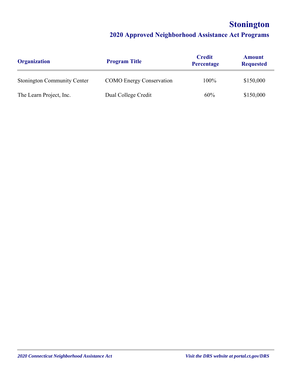# **Stonington**

| <b>Organization</b>                | <b>Program Title</b>            | <b>Credit</b><br>Percentage | <b>Amount</b><br><b>Requested</b> |
|------------------------------------|---------------------------------|-----------------------------|-----------------------------------|
| <b>Stonington Community Center</b> | <b>COMO</b> Energy Conservation | 100%                        | \$150,000                         |
| The Learn Project, Inc.            | Dual College Credit             | 60%                         | \$150,000                         |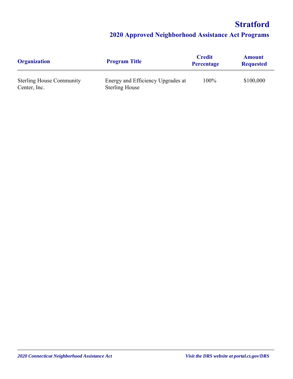# **Stratford**

| <b>Organization</b>                             | <b>Program Title</b>                                       | <b>Credit</b><br><b>Percentage</b> | <b>Amount</b><br><b>Requested</b> |
|-------------------------------------------------|------------------------------------------------------------|------------------------------------|-----------------------------------|
| <b>Sterling House Community</b><br>Center, Inc. | Energy and Efficiency Upgrades at<br><b>Sterling House</b> | 100%                               | \$100,000                         |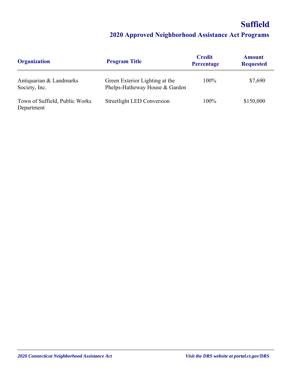# **Suffield**

| <b>Organization</b>                          | <b>Program Title</b>                                             | <b>Credit</b><br>Percentage | <b>Amount</b><br><b>Requested</b> |
|----------------------------------------------|------------------------------------------------------------------|-----------------------------|-----------------------------------|
| Antiquarian & Landmarks<br>Society, Inc.     | Green Exterior Lighting at the<br>Phelps-Hatheway House & Garden | 100%                        | \$7,690                           |
| Town of Suffield, Public Works<br>Department | Streetlight LED Conversion                                       | 100%                        | \$150,000                         |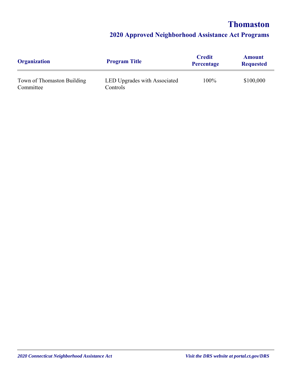## **Thomaston**

| <b>Organization</b>                     | <b>Program Title</b>                     | <b>Credit</b><br><b>Percentage</b> | <b>Amount</b><br><b>Requested</b> |
|-----------------------------------------|------------------------------------------|------------------------------------|-----------------------------------|
| Town of Thomaston Building<br>Committee | LED Upgrades with Associated<br>Controls | 100%                               | \$100,000                         |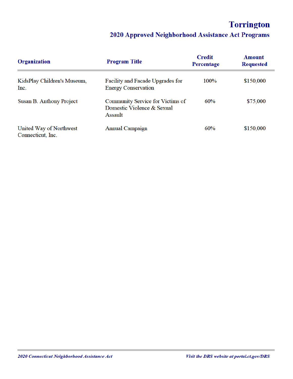# **Torrington**

| Organization                                 | <b>Program Title</b>                                                      | <b>Credit</b><br>Percentage | Amount<br><b>Requested</b> |
|----------------------------------------------|---------------------------------------------------------------------------|-----------------------------|----------------------------|
| KidsPlay Children's Museum,<br>Inc.          | Facility and Facade Upgrades for<br><b>Energy Conservation</b>            | 100%                        | \$150,000                  |
| Susan B. Anthony Project                     | Community Service for Victims of<br>Domestic Violence & Sexual<br>Assault | 60%                         | \$75,000                   |
| United Way of Northwest<br>Connecticut, Inc. | <b>Annual Campaign</b>                                                    | 60%                         | \$150,000                  |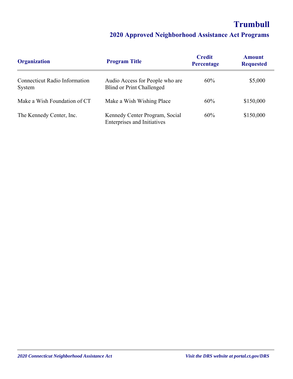# **Trumbull**

| <b>Organization</b>                            | <b>Program Title</b>                                                 | <b>Credit</b><br>Percentage | <b>Amount</b><br><b>Requested</b> |
|------------------------------------------------|----------------------------------------------------------------------|-----------------------------|-----------------------------------|
| <b>Connecticut Radio Information</b><br>System | Audio Access for People who are<br><b>Blind or Print Challenged</b>  | 60%                         | \$5,000                           |
| Make a Wish Foundation of CT                   | Make a Wish Wishing Place                                            | 60%                         | \$150,000                         |
| The Kennedy Center, Inc.                       | Kennedy Center Program, Social<br><b>Enterprises and Initiatives</b> | 60%                         | \$150,000                         |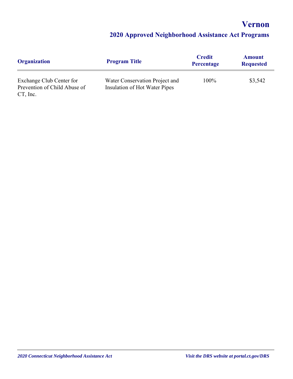**Vernon**

| <b>Organization</b>                                                     | <b>Program Title</b>                                            | <b>Credit</b><br>Percentage | <b>Amount</b><br><b>Requested</b> |
|-------------------------------------------------------------------------|-----------------------------------------------------------------|-----------------------------|-----------------------------------|
| Exchange Club Center for<br>Prevention of Child Abuse of<br>$CT$ , Inc. | Water Conservation Project and<br>Insulation of Hot Water Pipes | 100%                        | \$3,542                           |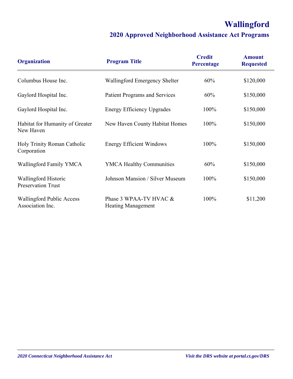# **Wallingford**

| <b>Organization</b>                                  | <b>Program Title</b>                                | <b>Credit</b><br>Percentage | <b>Amount</b><br><b>Requested</b> |
|------------------------------------------------------|-----------------------------------------------------|-----------------------------|-----------------------------------|
| Columbus House Inc.                                  | Wallingford Emergency Shelter                       | 60%                         | \$120,000                         |
| Gaylord Hospital Inc.                                | <b>Patient Programs and Services</b>                | 60%                         | \$150,000                         |
| Gaylord Hospital Inc.                                | <b>Energy Efficiency Upgrades</b>                   | 100%                        | \$150,000                         |
| Habitat for Humanity of Greater<br>New Haven         | New Haven County Habitat Homes                      | 100%                        | \$150,000                         |
| Holy Trinity Roman Catholic<br>Corporation           | <b>Energy Efficient Windows</b>                     | 100%                        | \$150,000                         |
| Wallingford Family YMCA                              | <b>YMCA Healthy Communities</b>                     | 60%                         | \$150,000                         |
| Wallingford Historic<br><b>Preservation Trust</b>    | Johnson Mansion / Silver Museum                     | 100%                        | \$150,000                         |
| <b>Wallingford Public Access</b><br>Association Inc. | Phase 3 WPAA-TV HVAC &<br><b>Heating Management</b> | 100%                        | \$11,200                          |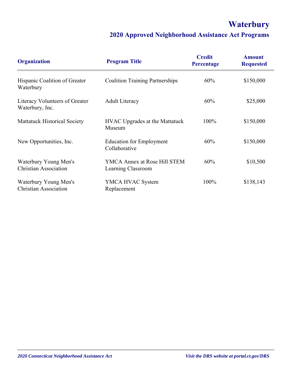# **Waterbury**

| <b>Organization</b>                                   | <b>Program Title</b>                               | <b>Credit</b><br>Percentage | <b>Amount</b><br><b>Requested</b> |
|-------------------------------------------------------|----------------------------------------------------|-----------------------------|-----------------------------------|
| Hispanic Coalition of Greater<br>Waterbury            | <b>Coalition Training Partnerships</b>             | 60%                         | \$150,000                         |
| Literacy Volunteers of Greater<br>Waterbury, Inc.     | <b>Adult Literacy</b>                              | 60%                         | \$25,000                          |
| <b>Mattatuck Historical Society</b>                   | <b>HVAC</b> Upgrades at the Mattatuck<br>Museum    | 100%                        | \$150,000                         |
| New Opportunities, Inc.                               | <b>Education for Employment</b><br>Collaborative   | 60%                         | \$150,000                         |
| Waterbury Young Men's<br><b>Christian Association</b> | YMCA Annex at Rose Hill STEM<br>Learning Classroom | 60%                         | \$10,500                          |
| Waterbury Young Men's<br><b>Christian Association</b> | YMCA HVAC System<br>Replacement                    | 100%                        | \$138,143                         |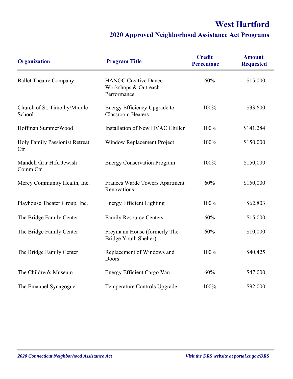# **West Hartford**

| <b>Organization</b>                    | <b>Program Title</b>                                               | <b>Credit</b><br>Percentage | <b>Amount</b><br><b>Requested</b> |
|----------------------------------------|--------------------------------------------------------------------|-----------------------------|-----------------------------------|
| <b>Ballet Theatre Company</b>          | <b>HANOC Creative Dance</b><br>Workshops & Outreach<br>Performance | 60%                         | \$15,000                          |
| Church of St. Timothy/Middle<br>School | Energy Efficiency Upgrade to<br><b>Classroom Heaters</b>           | 100%                        | \$33,600                          |
| Hoffman SummerWood                     | Installation of New HVAC Chiller                                   | 100%                        | \$141,284                         |
| Holy Family Passionist Retreat<br>Ctr  | Window Replacement Project                                         | 100%                        | \$150,000                         |
| Mandell Grtr Htfd Jewish<br>Comm Ctr   | <b>Energy Conservation Program</b>                                 | 100%                        | \$150,000                         |
| Mercy Community Health, Inc.           | Frances Warde Towers Apartment<br>Renovations                      | 60%                         | \$150,000                         |
| Playhouse Theater Group, Inc.          | <b>Energy Efficient Lighting</b>                                   | 100%                        | \$62,803                          |
| The Bridge Family Center               | <b>Family Resource Centers</b>                                     | 60%                         | \$15,000                          |
| The Bridge Family Center               | Freymann House (formerly The<br>Bridge Youth Shelter)              | 60%                         | \$10,000                          |
| The Bridge Family Center               | Replacement of Windows and<br>Doors                                | 100%                        | \$40,425                          |
| The Children's Museum                  | Energy Efficient Cargo Van                                         | 60%                         | \$47,000                          |
| The Emanuel Synagogue                  | Temperature Controls Upgrade                                       | 100%                        | \$92,000                          |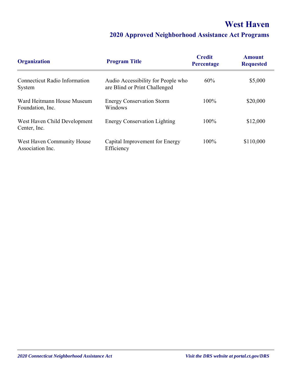### **West Haven**

| <b>Organization</b>                            | <b>Program Title</b>                                                | <b>Credit</b><br>Percentage | <b>Amount</b><br><b>Requested</b> |
|------------------------------------------------|---------------------------------------------------------------------|-----------------------------|-----------------------------------|
| Connecticut Radio Information<br>System        | Audio Accessibility for People who<br>are Blind or Print Challenged | 60%                         | \$5,000                           |
| Ward Heitmann House Museum<br>Foundation, Inc. | <b>Energy Conservation Storm</b><br>Windows                         | 100%                        | \$20,000                          |
| West Haven Child Development<br>Center, Inc.   | <b>Energy Conservation Lighting</b>                                 | 100%                        | \$12,000                          |
| West Haven Community House<br>Association Inc. | Capital Improvement for Energy<br>Efficiency                        | 100%                        | \$110,000                         |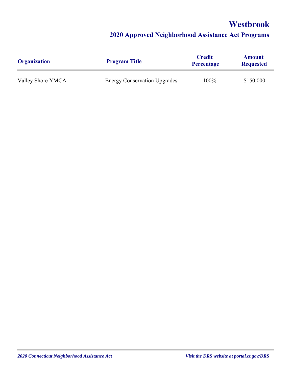### **Westbrook**

| <b>Organization</b> | <b>Program Title</b>                | <b>Credit</b><br><b>Percentage</b> | <b>Amount</b><br><b>Requested</b> |
|---------------------|-------------------------------------|------------------------------------|-----------------------------------|
| Valley Shore YMCA   | <b>Energy Conservation Upgrades</b> | 100%                               | \$150,000                         |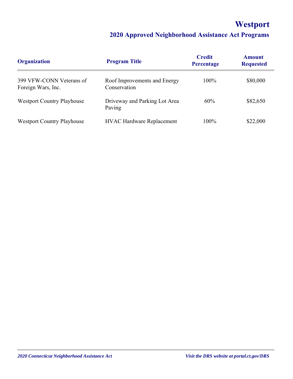# **Westport**

| <b>Organization</b>                            | <b>Program Title</b>                         | <b>Credit</b><br><b>Percentage</b> | <b>Amount</b><br><b>Requested</b> |
|------------------------------------------------|----------------------------------------------|------------------------------------|-----------------------------------|
| 399 VFW-CONN Veterans of<br>Foreign Wars, Inc. | Roof Improvements and Energy<br>Conservation | 100%                               | \$80,000                          |
| <b>Westport Country Playhouse</b>              | Driveway and Parking Lot Area<br>Paving      | 60%                                | \$82,650                          |
| <b>Westport Country Playhouse</b>              | <b>HVAC Hardware Replacement</b>             | 100%                               | \$22,000                          |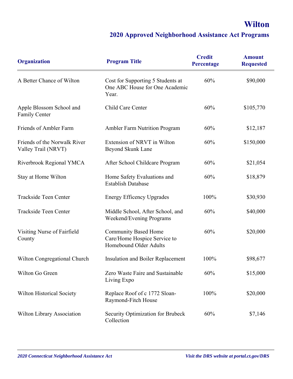## **Wilton**

| <b>Organization</b>                                 | <b>Program Title</b>                                                                  | <b>Credit</b><br>Percentage | <b>Amount</b><br><b>Requested</b> |
|-----------------------------------------------------|---------------------------------------------------------------------------------------|-----------------------------|-----------------------------------|
| A Better Chance of Wilton                           | Cost for Supporting 5 Students at<br>One ABC House for One Academic<br>Year.          | 60%                         | \$90,000                          |
| Apple Blossom School and<br>Family Center           | Child Care Center                                                                     | 60%                         | \$105,770                         |
| Friends of Ambler Farm                              | <b>Ambler Farm Nutrition Program</b>                                                  | 60%                         | \$12,187                          |
| Friends of the Norwalk River<br>Valley Trail (NRVT) | Extension of NRVT in Wilton<br>Beyond Skunk Lane                                      | 60%                         | \$150,000                         |
| Riverbrook Regional YMCA                            | After School Childcare Program                                                        | 60%                         | \$21,054                          |
| Stay at Home Wilton                                 | Home Safety Evaluations and<br><b>Establish Database</b>                              | 60%                         | \$18,879                          |
| Trackside Teen Center                               | <b>Energy Efficency Upgrades</b>                                                      | 100%                        | \$30,930                          |
| Trackside Teen Center                               | Middle School, After School, and<br>Weekend/Evening Programs                          | 60%                         | \$40,000                          |
| Visiting Nurse of Fairfield<br>County               | <b>Community Based Home</b><br>Care/Home Hospice Service to<br>Homebound Older Adults | 60%                         | \$20,000                          |
| Wilton Congregational Church                        | Insulation and Boiler Replacement                                                     | 100%                        | \$98,677                          |
| Wilton Go Green                                     | Zero Waste Faire and Sustainable<br>Living Expo                                       | 60%                         | \$15,000                          |
| Wilton Historical Society                           | Replace Roof of c 1772 Sloan-<br>Raymond-Fitch House                                  | 100%                        | \$20,000                          |
| Wilton Library Association                          | Security Optimization for Brubeck<br>Collection                                       | 60%                         | \$7,146                           |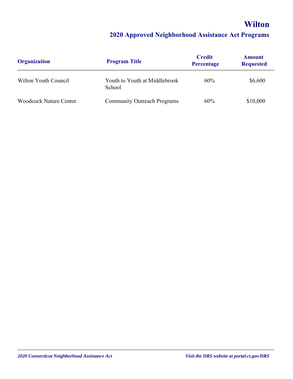# **Wilton**

| <b>Organization</b>           | <b>Program Title</b>                    | <b>Credit</b><br><b>Percentage</b> | <b>Amount</b><br><b>Requested</b> |
|-------------------------------|-----------------------------------------|------------------------------------|-----------------------------------|
| Wilton Youth Council          | Youth to Youth at Middlebrook<br>School | 60%                                | \$6,600                           |
| <b>Woodcock Nature Center</b> | <b>Community Outreach Programs</b>      | 60%                                | \$10,000                          |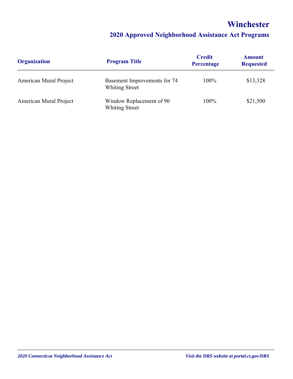### **Winchester**

| <b>Organization</b>    | <b>Program Title</b>                                  | <b>Credit</b><br>Percentage | <b>Amount</b><br><b>Requested</b> |
|------------------------|-------------------------------------------------------|-----------------------------|-----------------------------------|
| American Mural Project | Basement Improvements for 74<br><b>Whiting Street</b> | 100%                        | \$13,328                          |
| American Mural Project | Window Replacement of 90<br><b>Whiting Street</b>     | 100%                        | \$21,500                          |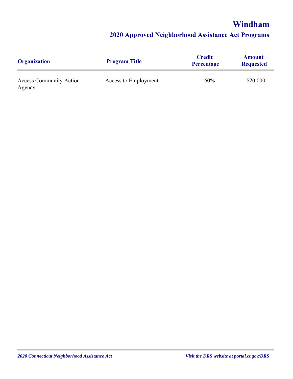## **Windham**

| <b>Organization</b>                      | <b>Program Title</b> | <b>Credit</b><br><b>Percentage</b> | <b>Amount</b><br><b>Requested</b> |
|------------------------------------------|----------------------|------------------------------------|-----------------------------------|
| <b>Access Community Action</b><br>Agency | Access to Employment | 60%                                | \$20,000                          |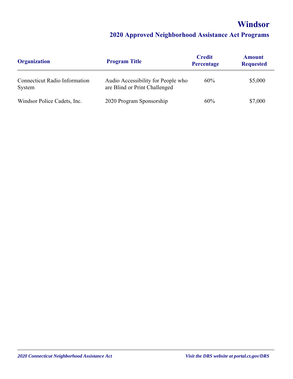# **Windsor**

| <b>Organization</b>                            | <b>Program Title</b>                                                | <b>Credit</b><br><b>Percentage</b> | <b>Amount</b><br><b>Requested</b> |
|------------------------------------------------|---------------------------------------------------------------------|------------------------------------|-----------------------------------|
| <b>Connecticut Radio Information</b><br>System | Audio Accessibility for People who<br>are Blind or Print Challenged | 60%                                | \$5,000                           |
| Windsor Police Cadets, Inc.                    | 2020 Program Sponsorship                                            | 60%                                | \$7,000                           |